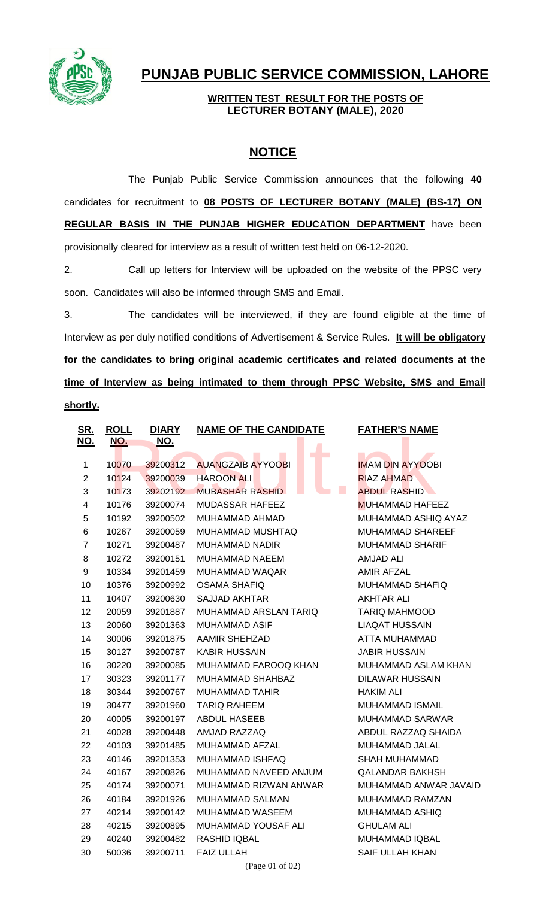

## **PUNJAB PUBLIC SERVICE COMMISSION, LAHORE**

## **WRITTEN TEST RESULT FOR THE POSTS OF LECTURER BOTANY (MALE), 2020**

## **NOTICE**

The Punjab Public Service Commission announces that the following **40** candidates for recruitment to **08 POSTS OF LECTURER BOTANY (MALE) (BS-17) ON REGULAR BASIS IN THE PUNJAB HIGHER EDUCATION DEPARTMENT** have been provisionally cleared for interview as a result of written test held on 06-12-2020.

2. Call up letters for Interview will be uploaded on the website of the PPSC very soon. Candidates will also be informed through SMS and Email.

3. The candidates will be interviewed, if they are found eligible at the time of Interview as per duly notified conditions of Advertisement & Service Rules. **It will be obligatory for the candidates to bring original academic certificates and related documents at the time of Interview as being intimated to them through PPSC Website, SMS and Email shortly.**

| <u>SR.</u>              | <b>ROLL</b> | <b>DIARY</b> | <b>NAME OF THE CANDIDATE</b>  | <b>FATHER'S NAME</b>                          |
|-------------------------|-------------|--------------|-------------------------------|-----------------------------------------------|
| NO.                     | NO.         | NO.          |                               |                                               |
| $\mathbf 1$             | 10070       | 39200312     | П<br><b>AUANGZAIB AYYOOBI</b> | <b>IMAM DIN AYYOOBI</b>                       |
| $\overline{2}$          | 10124       | 39200039     | <b>HAROON ALI</b>             | <b>RIAZ AHMAD</b>                             |
| 3                       |             | 39202192     | L.<br><b>MUBASHAR RASHID</b>  | <b>ABDUL RASHID</b>                           |
| $\overline{\mathbf{4}}$ | 10173       |              |                               |                                               |
| 5                       | 10176       | 39200074     | MUDASSAR HAFEEZ               | <b>MUHAMMAD HAFEEZ</b><br>MUHAMMAD ASHIQ AYAZ |
|                         | 10192       | 39200502     | MUHAMMAD AHMAD                |                                               |
| 6                       | 10267       | 39200059     | MUHAMMAD MUSHTAQ              | MUHAMMAD SHAREEF                              |
| $\overline{7}$          | 10271       | 39200487     | MUHAMMAD NADIR                | <b>MUHAMMAD SHARIF</b>                        |
| 8                       | 10272       | 39200151     | MUHAMMAD NAEEM                | <b>AMJAD ALI</b>                              |
| 9                       | 10334       | 39201459     | MUHAMMAD WAQAR                | <b>AMIR AFZAL</b>                             |
| 10                      | 10376       | 39200992     | OSAMA SHAFIQ                  | MUHAMMAD SHAFIQ                               |
| 11                      | 10407       | 39200630     | <b>SAJJAD AKHTAR</b>          | <b>AKHTAR ALI</b>                             |
| 12                      | 20059       | 39201887     | MUHAMMAD ARSLAN TARIQ         | <b>TARIQ MAHMOOD</b>                          |
| 13                      | 20060       | 39201363     | MUHAMMAD ASIF                 | <b>LIAQAT HUSSAIN</b>                         |
| 14                      | 30006       | 39201875     | <b>AAMIR SHEHZAD</b>          | ATTA MUHAMMAD                                 |
| 15                      | 30127       | 39200787     | <b>KABIR HUSSAIN</b>          | <b>JABIR HUSSAIN</b>                          |
| 16                      | 30220       | 39200085     | MUHAMMAD FAROOQ KHAN          | MUHAMMAD ASLAM KHAN                           |
| 17                      | 30323       | 39201177     | MUHAMMAD SHAHBAZ              | DILAWAR HUSSAIN                               |
| 18                      | 30344       | 39200767     | MUHAMMAD TAHIR                | <b>HAKIM ALI</b>                              |
| 19                      | 30477       | 39201960     | <b>TARIQ RAHEEM</b>           | <b>MUHAMMAD ISMAIL</b>                        |
| 20                      | 40005       | 39200197     | ABDUL HASEEB                  | <b>MUHAMMAD SARWAR</b>                        |
| 21                      | 40028       | 39200448     | AMJAD RAZZAQ                  | ABDUL RAZZAQ SHAIDA                           |
| 22                      | 40103       | 39201485     | MUHAMMAD AFZAL                | MUHAMMAD JALAL                                |
| 23                      | 40146       | 39201353     | MUHAMMAD ISHFAQ               | SHAH MUHAMMAD                                 |
| 24                      | 40167       | 39200826     | MUHAMMAD NAVEED ANJUM         | <b>QALANDAR BAKHSH</b>                        |
| 25                      | 40174       | 39200071     | MUHAMMAD RIZWAN ANWAR         | MUHAMMAD ANWAR JAVAID                         |
| 26                      | 40184       | 39201926     | MUHAMMAD SALMAN               | MUHAMMAD RAMZAN                               |
| 27                      | 40214       | 39200142     | MUHAMMAD WASEEM               | MUHAMMAD ASHIQ                                |
| 28                      | 40215       | 39200895     | MUHAMMAD YOUSAF ALI           | <b>GHULAM ALI</b>                             |
| 29                      | 40240       | 39200482     | RASHID IQBAL                  | MUHAMMAD IQBAL                                |
| 30                      | 50036       | 39200711     | <b>FAIZ ULLAH</b>             | <b>SAIF ULLAH KHAN</b>                        |
|                         |             |              | (Page 01 of 02)               |                                               |